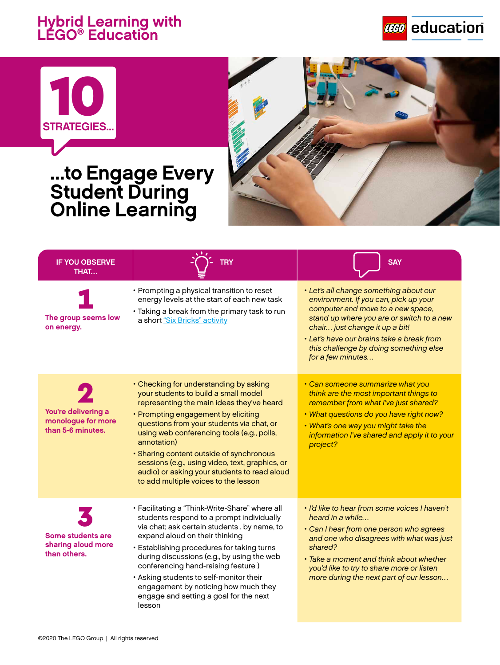## **Hybrid Learning with LEGO® Education**







## **...to Engage Every Student During Online Learning**

| <b>IF YOU OBSERVE</b><br>THAT                                  | <b>TRY</b>                                                                                                                                                                                                                                                                                                                                                                                                                                                          | <b>SAY</b>                                                                                                                                                                                                                                                                                                      |
|----------------------------------------------------------------|---------------------------------------------------------------------------------------------------------------------------------------------------------------------------------------------------------------------------------------------------------------------------------------------------------------------------------------------------------------------------------------------------------------------------------------------------------------------|-----------------------------------------------------------------------------------------------------------------------------------------------------------------------------------------------------------------------------------------------------------------------------------------------------------------|
| The group seems low<br>on energy.                              | • Prompting a physical transition to reset<br>energy levels at the start of each new task<br>· Taking a break from the primary task to run<br>a short "Six Bricks" activity                                                                                                                                                                                                                                                                                         | · Let's all change something about our<br>environment. If you can, pick up your<br>computer and move to a new space,<br>stand up where you are or switch to a new<br>chair just change it up a bit!<br>• Let's have our brains take a break from<br>this challenge by doing something else<br>for a few minutes |
| You're delivering a<br>monologue for more<br>than 5-6 minutes. | • Checking for understanding by asking<br>your students to build a small model<br>representing the main ideas they've heard<br>• Prompting engagement by eliciting<br>questions from your students via chat, or<br>using web conferencing tools (e.g., polls,<br>annotation)<br>· Sharing content outside of synchronous<br>sessions (e.g., using video, text, graphics, or<br>audio) or asking your students to read aloud<br>to add multiple voices to the lesson | • Can someone summarize what you<br>think are the most important things to<br>remember from what I've just shared?<br>. What questions do you have right now?<br>. What's one way you might take the<br>information I've shared and apply it to your<br>project?                                                |
| Some students are<br>sharing aloud more<br>than others.        | · Facilitating a "Think-Write-Share" where all<br>students respond to a prompt individually<br>via chat; ask certain students, by name, to<br>expand aloud on their thinking<br>· Establishing procedures for taking turns<br>during discussions (e.g., by using the web<br>conferencing hand-raising feature)<br>• Asking students to self-monitor their<br>engagement by noticing how much they<br>engage and setting a goal for the next<br>lesson               | · I'd like to hear from some voices I haven't<br>heard in a while<br>• Can I hear from one person who agrees<br>and one who disagrees with what was just<br>shared?<br>• Take a moment and think about whether<br>you'd like to try to share more or listen<br>more during the next part of our lesson          |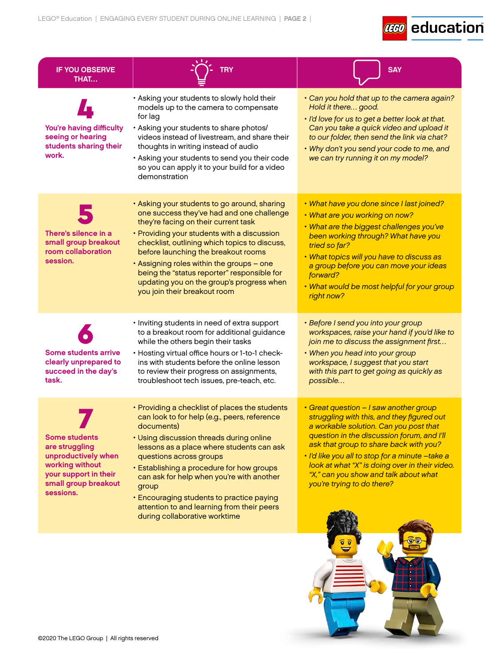## **CCO** education

 $\circ$ 

| • Asking your students to slowly hold their<br>models up to the camera to compensate<br>Hold it there good.<br>for lag<br>You're having difficulty<br>· Asking your students to share photos/<br>seeing or hearing<br>videos instead of livestream, and share their<br>students sharing their<br>thoughts in writing instead of audio<br>work.<br>• Asking your students to send you their code<br>we can try running it on my model?<br>so you can apply it to your build for a video<br>demonstration<br>· Asking your students to go around, sharing<br>one success they've had and one challenge<br>• What are you working on now?<br>they're facing on their current task<br>There's silence in a<br>• Providing your students with a discussion<br>been working through? What have you<br>small group breakout<br>checklist, outlining which topics to discuss,<br>tried so far?<br>room collaboration<br>before launching the breakout rooms<br>. What topics will you have to discuss as<br>session.<br>. Assigning roles within the groups - one<br>being the "status reporter" responsible for<br>forward?<br>updating you on the group's progress when<br>you join their breakout room<br>right now?<br>· Inviting students in need of extra support<br>• Before I send you into your group<br>to a breakout room for additional guidance<br>while the others begin their tasks<br>• When you head into your group<br><b>Some students arrive</b><br>• Hosting virtual office hours or 1-to-1 check-<br>clearly unprepared to<br>ins with students before the online lesson<br>workspace, I suggest that you start<br>succeed in the day's<br>to review their progress on assignments,<br>with this part to get going as quickly as<br>task.<br>troubleshoot tech issues, pre-teach, etc.<br>possible<br>• Great question - I saw another group<br>• Providing a checklist of places the students<br>can look to for help (e.g., peers, reference<br>a workable solution. Can you post that<br>documents)<br><b>Some students</b><br>• Using discussion threads during online<br>ask that group to share back with you?<br>are struggling<br>lessons as a place where students can ask | <b>IF YOU OBSERVE</b><br>THAT | <b>TRY</b>              | <b>SAY</b>                                                                                                                                                                                                                             |
|---------------------------------------------------------------------------------------------------------------------------------------------------------------------------------------------------------------------------------------------------------------------------------------------------------------------------------------------------------------------------------------------------------------------------------------------------------------------------------------------------------------------------------------------------------------------------------------------------------------------------------------------------------------------------------------------------------------------------------------------------------------------------------------------------------------------------------------------------------------------------------------------------------------------------------------------------------------------------------------------------------------------------------------------------------------------------------------------------------------------------------------------------------------------------------------------------------------------------------------------------------------------------------------------------------------------------------------------------------------------------------------------------------------------------------------------------------------------------------------------------------------------------------------------------------------------------------------------------------------------------------------------------------------------------------------------------------------------------------------------------------------------------------------------------------------------------------------------------------------------------------------------------------------------------------------------------------------------------------------------------------------------------------------------------------------------------------------------------------------------------------------------------------------------------------------------------|-------------------------------|-------------------------|----------------------------------------------------------------------------------------------------------------------------------------------------------------------------------------------------------------------------------------|
|                                                                                                                                                                                                                                                                                                                                                                                                                                                                                                                                                                                                                                                                                                                                                                                                                                                                                                                                                                                                                                                                                                                                                                                                                                                                                                                                                                                                                                                                                                                                                                                                                                                                                                                                                                                                                                                                                                                                                                                                                                                                                                                                                                                                   |                               |                         | • Can you hold that up to the camera again?<br>· I'd love for us to get a better look at that.<br>Can you take a quick video and upload it<br>to our folder, then send the link via chat?<br>• Why don't you send your code to me, and |
|                                                                                                                                                                                                                                                                                                                                                                                                                                                                                                                                                                                                                                                                                                                                                                                                                                                                                                                                                                                                                                                                                                                                                                                                                                                                                                                                                                                                                                                                                                                                                                                                                                                                                                                                                                                                                                                                                                                                                                                                                                                                                                                                                                                                   |                               |                         | . What have you done since I last joined?<br>. What are the biggest challenges you've<br>a group before you can move your ideas<br>. What would be most helpful for your group                                                         |
|                                                                                                                                                                                                                                                                                                                                                                                                                                                                                                                                                                                                                                                                                                                                                                                                                                                                                                                                                                                                                                                                                                                                                                                                                                                                                                                                                                                                                                                                                                                                                                                                                                                                                                                                                                                                                                                                                                                                                                                                                                                                                                                                                                                                   |                               |                         | workspaces, raise your hand if you'd like to<br>join me to discuss the assignment first                                                                                                                                                |
| working without<br>• Establishing a procedure for how groups<br>your support in their<br>"X," can you show and talk about what<br>can ask for help when you're with another<br>small group breakout<br>you're trying to do there?<br>group<br>sessions.<br>• Encouraging students to practice paying<br>attention to and learning from their peers<br>during collaborative worktime                                                                                                                                                                                                                                                                                                                                                                                                                                                                                                                                                                                                                                                                                                                                                                                                                                                                                                                                                                                                                                                                                                                                                                                                                                                                                                                                                                                                                                                                                                                                                                                                                                                                                                                                                                                                               | unproductively when           | questions across groups | struggling with this, and they figured out<br>question in the discussion forum, and I'll<br>· I'd like you all to stop for a minute -take a<br>look at what "X" is doing over in their video.                                          |